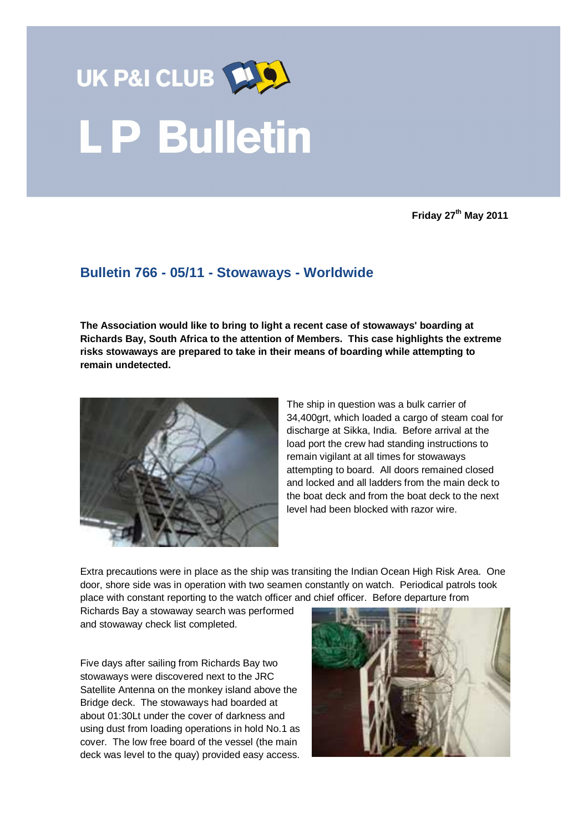

**Friday 27th May 2011** 

## **Bulletin 766 - 05/11 - Stowaways - Worldwide**

**The Association would like to bring to light a recent case of stowaways' boarding at Richards Bay, South Africa to the attention of Members. This case highlights the extreme risks stowaways are prepared to take in their means of boarding while attempting to remain undetected.** 



The ship in question was a bulk carrier of 34,400grt, which loaded a cargo of steam coal for discharge at Sikka, India. Before arrival at the load port the crew had standing instructions to remain vigilant at all times for stowaways attempting to board. All doors remained closed and locked and all ladders from the main deck to the boat deck and from the boat deck to the next level had been blocked with razor wire.

Extra precautions were in place as the ship was transiting the Indian Ocean High Risk Area. One door, shore side was in operation with two seamen constantly on watch. Periodical patrols took place with constant reporting to the watch officer and chief officer. Before departure from

Richards Bay a stowaway search was performed and stowaway check list completed.

Five days after sailing from Richards Bay two stowaways were discovered next to the JRC Satellite Antenna on the monkey island above the Bridge deck. The stowaways had boarded at about 01:30Lt under the cover of darkness and using dust from loading operations in hold No.1 as cover. The low free board of the vessel (the main deck was level to the quay) provided easy access.